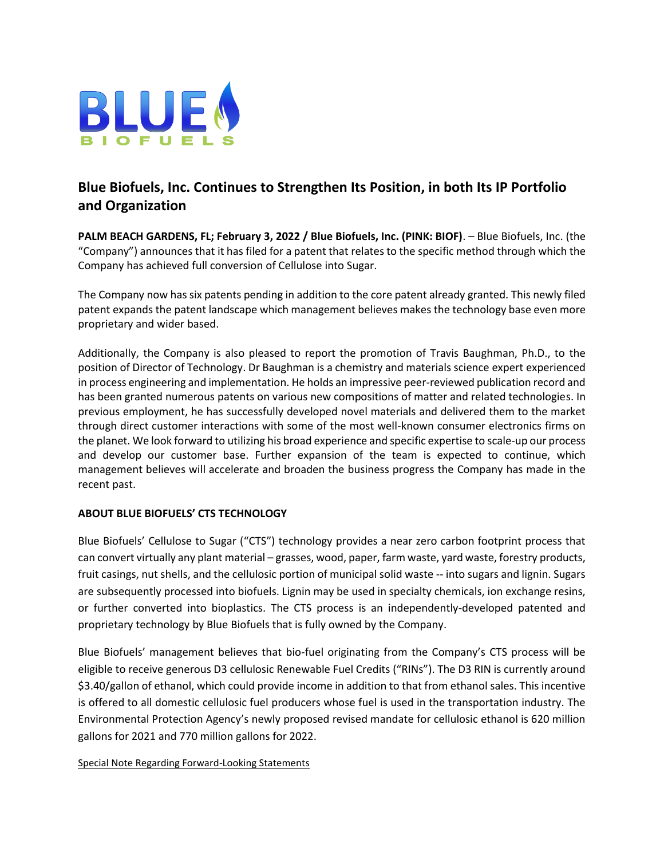

## **Blue Biofuels, Inc. Continues to Strengthen Its Position, in both Its IP Portfolio and Organization**

**PALM BEACH GARDENS, FL; February 3, 2022 / Blue Biofuels, Inc. (PINK: BIOF)**. – Blue Biofuels, Inc. (the "Company") announces that it has filed for a patent that relates to the specific method through which the Company has achieved full conversion of Cellulose into Sugar.

The Company now has six patents pending in addition to the core patent already granted. This newly filed patent expands the patent landscape which management believes makes the technology base even more proprietary and wider based.

Additionally, the Company is also pleased to report the promotion of Travis Baughman, Ph.D., to the position of Director of Technology. Dr Baughman is a chemistry and materials science expert experienced in process engineering and implementation. He holds an impressive peer-reviewed publication record and has been granted numerous patents on various new compositions of matter and related technologies. In previous employment, he has successfully developed novel materials and delivered them to the market through direct customer interactions with some of the most well-known consumer electronics firms on the planet. We look forward to utilizing his broad experience and specific expertise to scale-up our process and develop our customer base. Further expansion of the team is expected to continue, which management believes will accelerate and broaden the business progress the Company has made in the recent past.

## **ABOUT BLUE BIOFUELS' CTS TECHNOLOGY**

Blue Biofuels' Cellulose to Sugar ("CTS") technology provides a near zero carbon footprint process that can convert virtually any plant material – grasses, wood, paper, farm waste, yard waste, forestry products, fruit casings, nut shells, and the cellulosic portion of municipal solid waste -- into sugars and lignin. Sugars are subsequently processed into biofuels. Lignin may be used in specialty chemicals, ion exchange resins, or further converted into bioplastics. The CTS process is an independently-developed patented and proprietary technology by Blue Biofuels that is fully owned by the Company.

Blue Biofuels' management believes that bio-fuel originating from the Company's CTS process will be eligible to receive generous D3 cellulosic Renewable Fuel Credits ("RINs"). The D3 RIN is currently around \$3.40/gallon of ethanol, which could provide income in addition to that from ethanol sales. This incentive is offered to all domestic cellulosic fuel producers whose fuel is used in the transportation industry. The Environmental Protection Agency's newly proposed revised mandate for cellulosic ethanol is 620 million gallons for 2021 and 770 million gallons for 2022.

Special Note Regarding Forward-Looking Statements